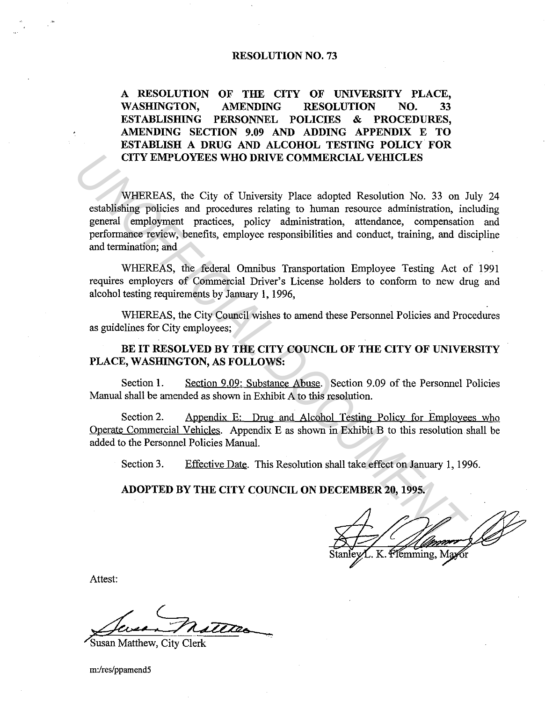#### **RESOLUTION NO. 73**

**A RESOLUTION OF THE CITY OF UNIVERSITY PLACE, WASHINGTON, AMENDING RESOLUTION NO. 33 ESTABLISIDNG PERSONNEL POLICIES & PROCEDURES, AMENDING SECTION 9.09 AND ADDING APPENDIX E TO ESTABLISH A DRUG AND ALCOHOL TESTING POLICY FOR CITY EMPLOYEES WHO DRIVE COMMERCIAL VEIDCLES** 

WHEREAS, the City of University Place adopted Resolution No. 33 on July 24 establishing policies and procedures relating to human resource administration, including general employment practices, policy administration, attendance, compensation and performance review, benefits, employee responsibilities and conduct, training, and discipline and termination; and **CITY EMPLOYEES WHO DRIVE COMMERCIAL VEHICLES**<br>
WHEREAS, the City of University Place adopted Resolution No. 33 on J<br>
cstablishing policies and procedures relating to human resource administration, in<br>
general employment p

WHEREAS, the federal Omnibus Transportation Employee Testing Act of 1991 requires employers of Commercial Driver's License holders to conform to new drug and alcohol testing requirements by January 1, 1996,

WHEREAS, the City Council wishes to amend these Personnel Policies and Procedures as guidelines for City employees;

**BE IT RESOLVED BY THE CITY COUNCIL OF THE CITY OF UNIVERSITY PLACE, WASHINGTON, AS FOLLOWS:** 

Section 1. Section 9.09: Substance Abuse. Section 9.09 of the Personnel Policies Manual shall be amended as shown in Exhibit A to this resolution.

Section 2. Appendix E: Drug and Alcohol Testing Policy for Employees who Operate Commercial Vehicles. Appendix E as shown in Exhibit B to this resolution shall be added to the Personnel Policies Manual.

Section 3. Effective Date. This Resolution shall take effect on January 1, 1996.

**ADOPTED BY THE CITY COUNCIL ON DECEMBER 20, 1995.** 

émming. Max

Attest:

Susan Matthew. City Clerk

m:/res/ppamend5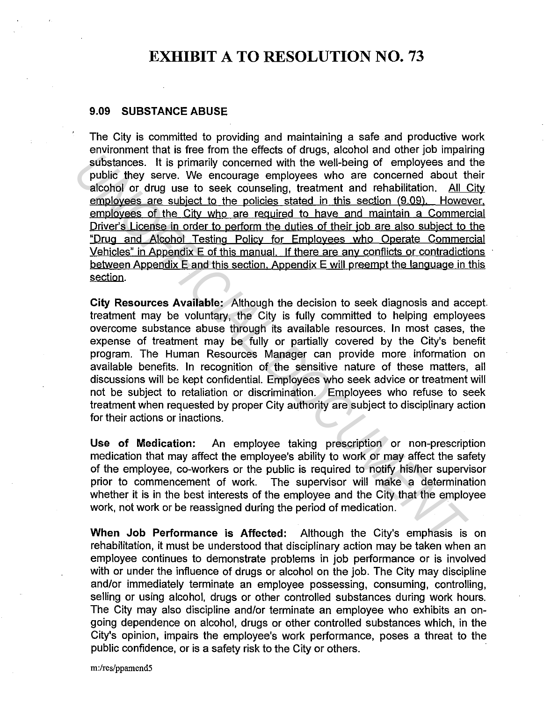## **EXHIBIT A TO RESOLUTION NO. 73**

#### **9.09 SUBSTANCE ABUSE**

The City is committed to providing and maintaining a safe and productive work environment that is free from the effects of drugs, alcohol and other job impairing substances. It is primarily concerned with the well-being of employees and the public they serve. We encourage employees who are concerned about their alcohol or drug use to seek counseling, treatment and rehabilitation. All City employees are subject to the policies stated in this section (9.09). However, employees of the City who are reguired to have and maintain a Commercial Driver's License in order to perform the duties of their job are also subject to the "Drug and Alcohol Testing Policy for Employees who Operate Commercial Vehicles" in Appendix E of this manual. If there are any conflicts or contradictions between Appendix E and this section, Appendix E will preempt the language in this section. **Example the set of the contract of the control of the set of the set of the set of the set of the set of the policies stated in this section (9.09). Hower employees and economy envel by sever. We encourage employees and e** 

**City Resources Available:** Although the decision to seek diagnosis and accept. treatment may be voluntary, the City is fully committed to helping employees overcome substance abuse through its available resources. In most cases, the expense of treatment may be fully or partially covered by the City's benefit program. The Human Resources Manager can provide more information on available benefits. In recognition of the sensitive nature of these matters, all discussions will be kept confidential. Employees who seek advice or treatment will not be subject to retaliation or discrimination. Employees who refuse to seek treatment when requested by proper City authority are subject to disciplinary action for their actions or inactions.

**Use of Medication:** An employee taking prescription or non-prescription medication that may affect the employee's ability to work or may affect the safety of the employee, co-workers or the public is required to notify his/her supervisor prior to commencement of work. The supervisor will make a determination whether it is in the best interests of the employee and the City that the employee work, not work or be reassigned during the period of medication.

**When Job Performance is Affected:** Although the City's emphasis is on rehabilitation, it must be understood that disciplinary action may be taken when an employee continues to demonstrate problems in job performance or is involved with or under the influence of drugs or alcohol on the job. The City may discipline and/or immediately terminate an employee possessing, consuming, controlling, selling or using alcohol, drugs or other controlled substances during work hours. The City may also discipline and/or terminate an employee who exhibits an ongoing dependence on alcohol, drugs or other controlled substances which, in the City's opinion, impairs the employee's work performance, poses a threat to the public confidence, or is a safety risk to the City or others.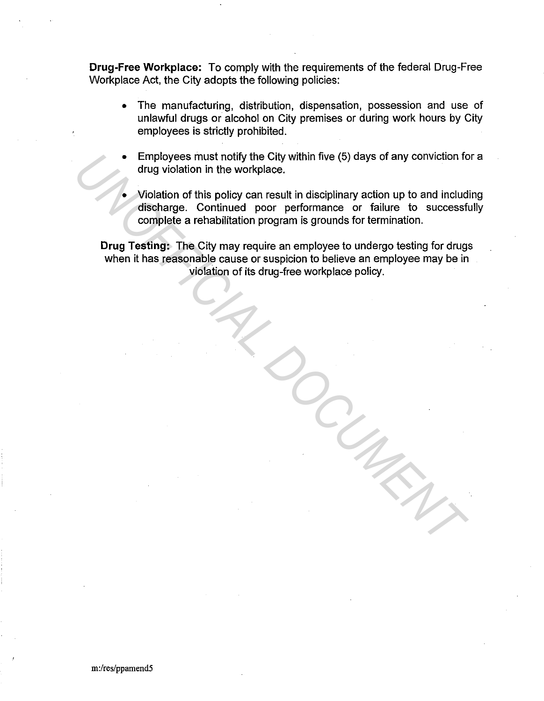**Drug-Free Workplace:** To comply with the requirements of the federal Drug-Free Workplace Act, the City adopts the following policies:

- The manufacturing, distribution, dispensation, possession and use of unlawful drugs or alcohol on City premises or during work hours by City employees is strictly prohibited.
- Employees must notify the City within five (5) days of any conviction for a drug violation in the workplace.
	- Violation of this policy can result in disciplinary action up to and including discharge. Continued poor performance or failure to successfully complete a rehabilitation program is grounds for termination.

**Drug Testing:** The City may require an employee to undergo testing for drugs when it has reasonable cause or suspicion to believe an employee may be in violation of its drug-free workplace policy. • Employees must notify the City within five (5) days of any conviction for this policion in the workplace.<br>
Violation in the workplace.<br>
Violation of this policy can result in disciplinary action up to and include<br>
discha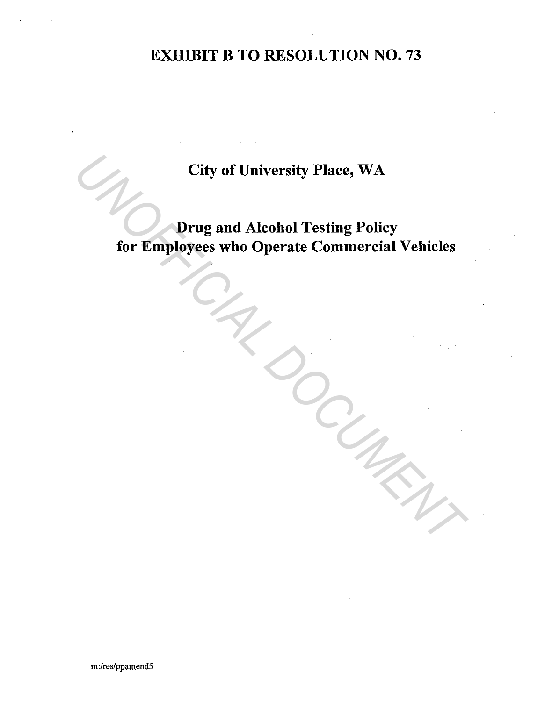# EXHIBIT B TO RESOLUTION NO. 73

City of University Place, WA

Drug and Alcohol Testing Policy for Employees who Operate Commercial Vehicles City of University Place, WA<br>
Drug and Alcohol Testing Policy<br>
for Employees who Operate Commercial Vehicles<br>
Contract Commercial Vehicles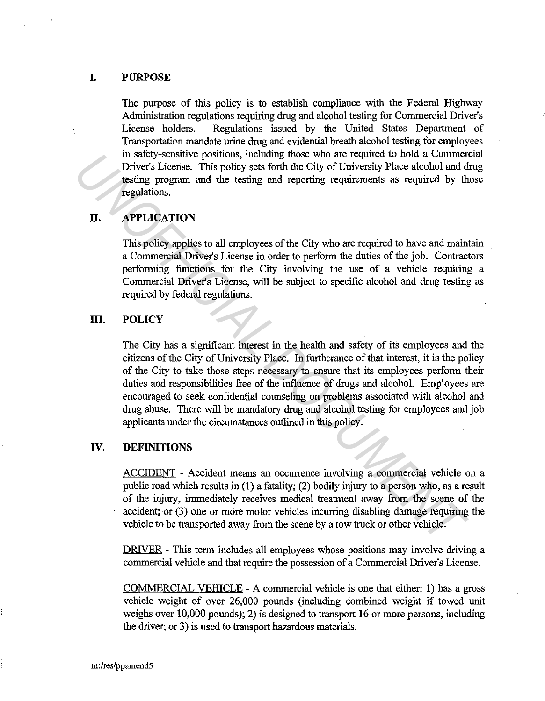#### **I. PURPOSE**

The purpose of this policy is to establish compliance with the Federal Highway Administration regulations requiring drug and alcohol testing for Commercial Driver's License holders. Regulations issued by the United States Department of Transportation mandate urine drug and evidential breath alcohol testing for employees in safety-sensitive positions, including those who are required to hold a Commercial Driver's License. This policy sets forth the City of University Place alcohol and drug testing program and the testing and reporting requirements as required by those regulations.

## **II. APPLICATION**

This policy applies to all employees of the City who are required to have and maintain a Commercial Driver's License in order to perform the duties of the job. Contractors performing functions for the City involving the use of a vehicle requiring a Commercial Driver's License, will be subject to specific alcohol and drug testing as required by federal regulations.

#### **III.** POLICY

The City has a significant interest in the health and safety of its employees and the citizens of the City of University Place. In furtherance of that interest, it is the policy of the City to take those steps necessary to ensure that its employees perform their duties and responsibilities free of the influence of drugs and alcohol. Employees are encouraged to seek confidential counseling on problems associated with alcohol and drug abuse. There will be mandatory drug and alcohol testing for employees and job applicants under the circumstances outlined in this policy. *Un* sately-sensuative positions, including mose who are required to bola 4 Comments are respected to the commentions.<br> **U. APPLICATION**<br> **U. APPLICATION**<br> **II.** APPLICATION<br> **II.** APPLICATION<br> **II.** APPLICATION<br> **II.** APP

## **IV. DEFINITIONS**

ACCIDENT - Accident means an occurrence involving a commercial vehicle on a public road which results in (1) a fatality; (2) bodily injury to a person who, as a result of the injury, immediately receives medical treatment away from the scene of the accident; or (3) one or more motor vehicles incurring disabling damage requiring the vehicle to be transported away from the scene by a tow truck or other vehicle.

DRIVER - This term includes all employees whose positions may involve driving a commercial vehicle and that require the possession of a Commercial Driver's License.

COMMERCIAL VEHICLE - A commercial vehicle is one that either: 1) has a gross vehicle weight of over 26,000 pounds (including combined weight if towed unit weighs over 10,000 pounds); 2) is designed to transport 16 or more persons, including the driver; or 3) is used to transport hazardous materials.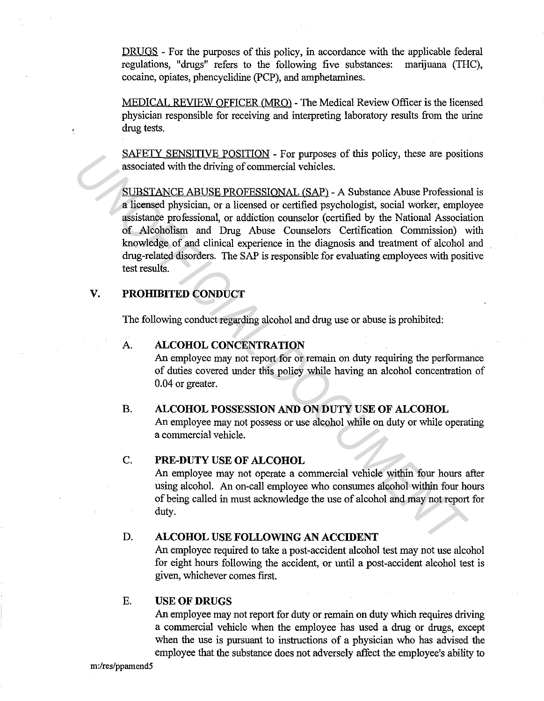DRUGS - For the purposes of this policy, in accordance with the applicable federal regulations, "drugs" refers to the following five substances: marijuana (THC), cocaine, opiates, phencyclidine (PCP), and amphetamines.

MEDICAL REVIEW OFFICER (MRQ) - The Medical Review Officer is the licensed physician responsible for receiving and interpreting laboratory results from the urine drug tests.

SAFETY SENSITIVE POSITION - For purposes of this policy, these are positions associated with the driving of commercial vehicles.

SUBSTANCE ABUSE PROFESSIONAL (SAP) - A Substance Abuse Professional is a licensed physician, or a licensed or certified psychologist, social worker, employee assistance professional, or addiction counselor (certified by the National Association of Alcoholism and Drug Abuse Counselors Certification Commission) with knowledge of and clinical experience in the diagnosis and treatment of alcohol and drug-related disorders. The SAP is responsible for evaluating employees with positive test results. XAFELY SENSILIDEY FORSILIDES - For purposes of this policy, these are positive associated with the driving of commercial vehicles.<br>
SUBSTANCE ABUSE PROFESSIONAL (SAP) - A Substance Abuse Professions a licensed physician,

## **V. PROHIBITED CONDUCT**

The following conduct regarding alcohol and drug use or abuse is prohibited:

## A. **ALCOHOL CONCENTRATION**

An employee may not report for or remain on duty requiring the performance of duties covered under this policy while having an alcohol concentration of 0.04 or greater.

## **B. ALCOHOL POSSESSION AND ON DUTY USE OF ALCOHOL**

An employee may not possess or use alcohol while on duty or while operating a commercial vehicle.

## C. **PRE-DUTY USE OF ALCOHOL**

An employee may not operate a commercial vehicle within four hours after using alcohol. An on-call employee who consumes alcohol within four hours of being called in must acknowledge the use of alcohol and may not report for duty.

## **D. ALCOHOL USE FOLLOWING AN ACCIDENT**

An employee required to take a post-accident alcohol test may not use alcohol for eight hours following the accident, or until a post-accident alcohol test is given, whichever comes first.

## E. **USE OF DRUGS**

An employee may not report for duty or remain on duty which requires driving a commercial vehicle when the employee has used a drug or drugs, except when the use is pursuant to instructions of a physician who has advised the employee that the substance does not adversely affect the employee's ability to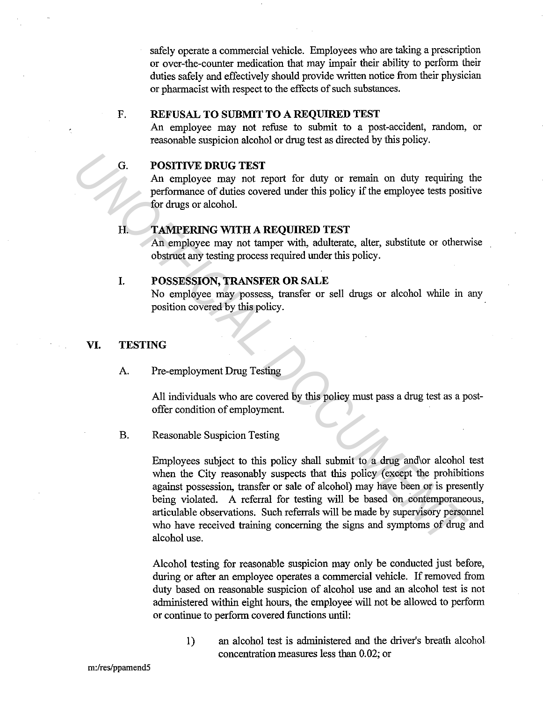safely operate a commercial vehicle. Employees who are taking a prescription or over-the-counter medication that may impair their ability to perform their duties safely and effectively should provide written notice from their physician or pharmacist with respect to the effects of such substances.

## F. **REFUSAL TO SUBMIT TO A REQUIRED TEST**

An employee may not refuse to submit to a post-accident, random, or reasonable suspicion alcohol or drug test as directed by this policy.

## G. **POSITIVE DRUG TEST**

An employee may not report for duty or remain on duty requiring the performance of duties covered under this policy if the employee tests positive for drugs or alcohol.

#### **H. TAMPERING WITH A REQUIRED TEST**

An employee may not tamper with, adulterate, alter, substitute or otherwise obstruct any testing process required under this policy.

## **I. POSSESSION, TRANSFER OR SALE**

No employee may possess, transfer or sell drugs or alcohol while in any position covered by this policy.

#### **VI. TESTING**

## A. Pre-employment Drug Testing

All individuals who are covered by this policy must pass a drug test as a postoffer condition of employment.

#### B. Reasonable Suspicion Testing

Employees subject to this policy shall submit to a drug and\or alcohol test when the City reasonably suspects that this policy (except the prohibitions against possession, transfer or sale of alcohol) may have been or is presently being violated. A referral for testing will be based on contemporaneous, articulable observations. Such referrals will be made by supervisory personnel who have received training concerning the signs and symptoms of drug and alcohol use. G. POSITIVE DRUG TEST<br>
An employee may not report for duty or remain on duty requiring<br>
performance of duties covered under this policy if the employee tests posit<br>
for drugs or alcohol.<br> **H. TAMPERING WITH A REQUIRED TE** 

> Alcohol testing for reasonable suspicion may only be conducted just before, during or after an employee operates a commercial vehicle. If removed from duty based on reasonable suspicion of alcohol use and an alcohol test is not administered within eight hours, the employee will not be allowed to perform or continue to perform covered functions until:

1) an alcohol test is administered and the driver's breath alcohol concentration measures less than 0.02; or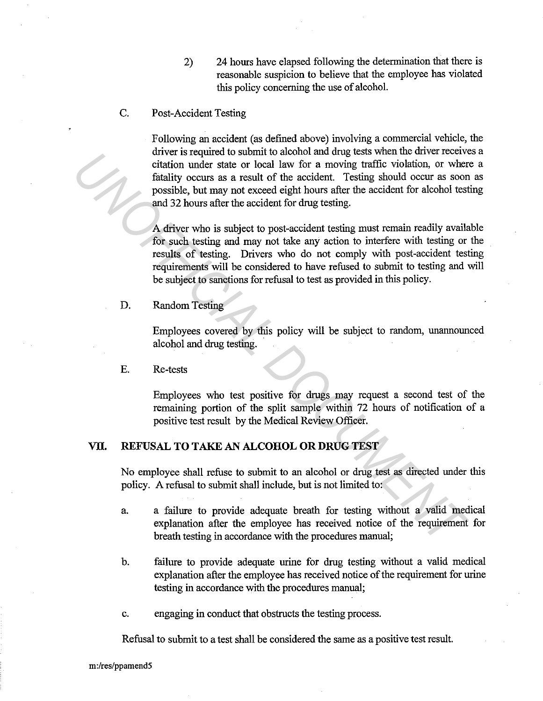- 2) 24 hours have elapsed following the determination that there is reasonable suspicion to believe that the employee has violated this policy concerning the use of alcohol.
- C. Post-Accident Testing

Following an accident (as defined above) involving a commercial vehicle, the driver is required to submit to alcohol and drug tests when the driver receives a citation under state or local Jaw for a moving traffic violation, or where a fatality occurs as a result of the accident. Testing should occur as soon as possible, but may not exceed eight hours after the accident for alcohol testing and 32 hours after the accident for drug testing.

A driver who is subject to post-accident testing must remain readily available for such testing and may not take any action to interfere with testing or the results of testing. Drivers who do not comply with post-accident testing requirements will be considered to have refused to submit to testing and will be subject to sanctions for refusal to test as provided in this policy. First partiest and a state of the accident restrict to such the state or local law for a moving traffic violation, or where the state or local law for a moving traffic violation, or where fastury occurs as a result of the

D. Random Testing

Employees covered by this policy will be subject to random, unannounced alcohol and drug testing.

E. Re-tests

Employees who test positive for drugs may request a second test of the remaining portion of the split sample within 72 hours of notification of a positive test result by the Medical Review Officer.

## **VII. REFUSAL TOT AKE AN ALCOHOL OR DRUG TEST**

No employee shall refuse to submit to an alcohol or drug test as directed under this policy. A refusal to submit shall include, but is not limited to:

- a. a failure to provide adequate breath for testing without a valid medical explanation after the employee has received notice of the requirement for breath testing in accordance with the procedures manual;
- b. failure to provide adequate urine for drug testing without a valid medical explanation after the employee has received notice of the requirement for urine testing in accordance with the procedures manual;
- c. engaging in conduct that obstructs the testing process.

Refusal to submit to a test shall be considered the same as a positive test result.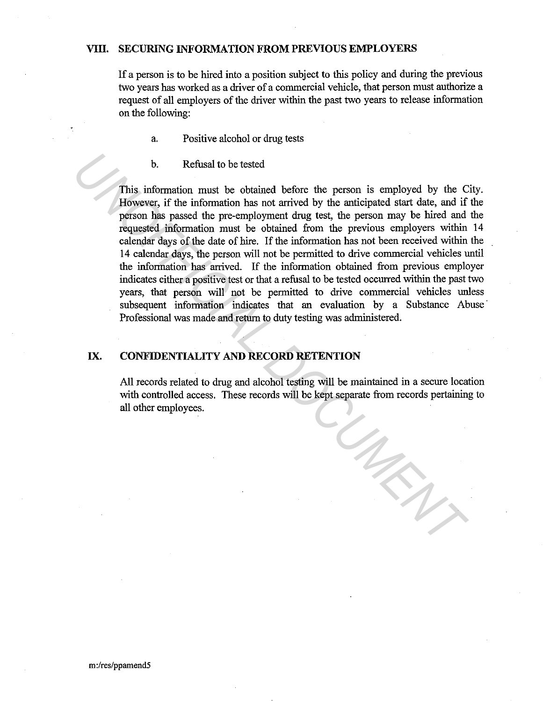#### **VIII. SECURING INFORMATION FROM PREVIOUS EMPLOYERS**

If a person is to be hired into a position subject to this policy and during the previous two years has worked as a driver of a commercial vehicle, that person must authorize a request of all employers of the driver within the past two years to release information on the following:

- a. Positive alcohol or drug tests
- b. Refusal to be tested

This information must be obtained before the person is employed by the City. However, if the information has not arrived by the anticipated start date, and if the person has passed the pre-employment drug test, the person may be hired and the requested information must be obtained from the previous employers within 14 calendar days of the date of hire. If the information has not been received within the 14 calendar days, the person will not be permitted to drive commercial vehicles until the information has arrived. If the information obtained from previous employer indicates either a positive test or that a refusal to be tested occurred within the past two years, that person will not be permitted to drive commercial vehicles unless subsequent information indicates that an evaluation by a Substance Abuse Professional was made and return to duty testing was administered. **Example 16** This information must be obtained before the person is employed by the C However, if the information has not arrived by the anticipated start date, and if person is a passed the pre-employment drug test, the p

## **IX. CONFIDENTIALITY AND RECORD RETENTION**

All records related to drug and alcohol testing will be maintained in a secure location with controlled access. These records will be kept separate from records pertaining to all other employees.